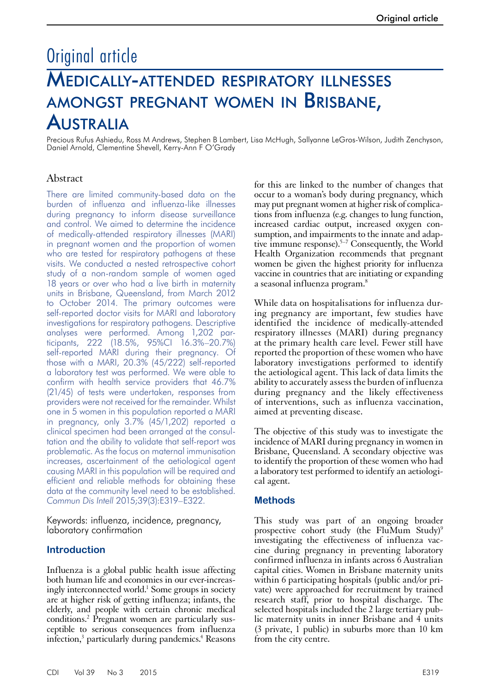# Original article Medically-attended respiratory illnesses amongst pregnant women in Brisbane, Australia

Precious Rufus Ashiedu, Ross M Andrews, Stephen B Lambert, Lisa McHugh, Sallyanne LeGros-Wilson, Judith Zenchyson, Daniel Arnold, Clementine Shevell, Kerry-Ann F O'Grady

# Abstract

There are limited community-based data on the burden of influenza and influenza-like illnesses during pregnancy to inform disease surveillance and control. We aimed to determine the incidence of medically-attended respiratory illnesses (MARI) in pregnant women and the proportion of women who are tested for respiratory pathogens at these visits. We conducted a nested retrospective cohort study of a non-random sample of women aged 18 years or over who had a live birth in maternity units in Brisbane, Queensland, from March 2012 to October 2014. The primary outcomes were self-reported doctor visits for MARI and laboratory investigations for respiratory pathogens. Descriptive analyses were performed. Among 1,202 participants, 222 (18.5%, 95%CI 16.3%–20.7%) self-reported MARI during their pregnancy. Of those with a MARI, 20.3% (45/222) self-reported a laboratory test was performed. We were able to confirm with health service providers that 46.7% (21/45) of tests were undertaken, responses from providers were not received for the remainder. Whilst one in 5 women in this population reported a MARI in pregnancy, only 3.7% (45/1,202) reported a clinical specimen had been arranged at the consultation and the ability to validate that self-report was problematic. As the focus on maternal immunisation increases, ascertainment of the aetiological agent causing MARI in this population will be required and efficient and reliable methods for obtaining these data at the community level need to be established. *Commun Dis Intell* 2015;39(3):E319–E322.

Keywords: influenza, incidence, pregnancy, laboratory confirmation

# **Introduction**

Influenza is a global public health issue affecting both human life and economies in our ever-increasingly interconnected world.<sup>1</sup> Some groups in society are at higher risk of getting influenza; infants, the elderly, and people with certain chronic medical conditions.<sup>2</sup> Pregnant women are particularly susceptible to serious consequences from influenza infection,<sup>3</sup> particularly during pandemics.<sup>4</sup> Reasons

for this are linked to the number of changes that occur to a woman's body during pregnancy, which may put pregnant women at higher risk of complications from influenza (e.g. changes to lung function, increased cardiac output, increased oxygen consumption, and impairments to the innate and adaptive immune response).<sup>5-7</sup> Consequently, the World Health Organization recommends that pregnant women be given the highest priority for influenza vaccine in countries that are initiating or expanding a seasonal influenza program.8

While data on hospitalisations for influenza during pregnancy are important, few studies have identified the incidence of medically-attended respiratory illnesses (MARI) during pregnancy at the primary health care level. Fewer still have reported the proportion of these women who have laboratory investigations performed to identify the aetiological agent. This lack of data limits the ability to accurately assess the burden of influenza during pregnancy and the likely effectiveness of interventions, such as influenza vaccination, aimed at preventing disease.

The objective of this study was to investigate the incidence of MARI during pregnancy in women in Brisbane, Queensland. A secondary objective was to identify the proportion of these women who had a laboratory test performed to identify an aetiologi- cal agent.

# **Methods**

This study was part of an ongoing broader prospective cohort study (the FluMum Study)<sup>9</sup> investigating the effectiveness of influenza vac- cine during pregnancy in preventing laboratory confirmed influenza in infants across 6 Australian capital cities. Women in Brisbane maternity units within 6 participating hospitals (public and/or private) were approached for recruitment by trained research staff, prior to hospital discharge. The selected hospitals included the 2 large tertiary pub- lic maternity units in inner Brisbane and 4 units (3 private, 1 public) in suburbs more than 10 km from the city centre.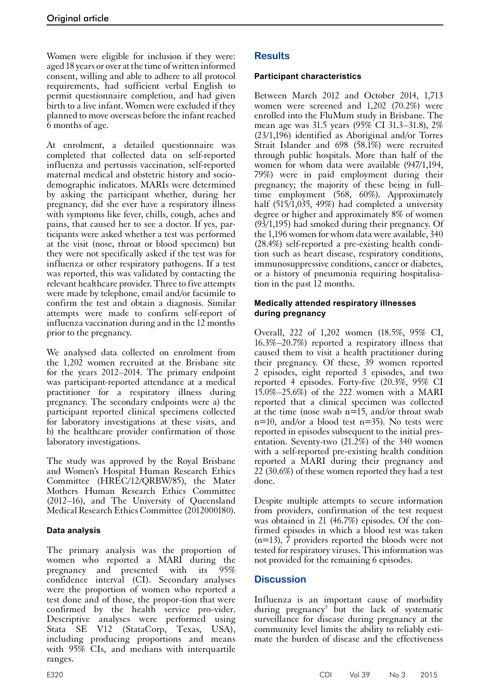Women were eligible for inclusion if they were: aged 18 years or over at the time of written informed consent, willing and able to adhere to all protocol requirements, had sufficient verbal English to permit questionnaire completion, and had given birth to a live infant. Women were excluded if they planned to move overseas before the infant reached 6 months of age.

At enrolment, a detailed questionnaire was completed that collected data on self-reported influenza and pertussis vaccination, self-reported maternal medical and obstetric history and sociodemographic indicators. MARIs were determined by asking the participant whether, during her pregnancy, did she ever have a respiratory illness with symptoms like fever, chills, cough, aches and pains, that caused her to see a doctor. If yes, participants were asked whether a test was performed at the visit (nose, throat or blood specimen) but they were not specifically asked if the test was for influenza or other respiratory pathogens. If a test was reported, this was validated by contacting the relevant healthcare provider. Three to five attempts were made by telephone, email and/or facsimile to confirm the test and obtain a diagnosis. Similar attempts were made to confirm self-report of influenza vaccination during and in the 12 months prior to the pregnancy.

We analysed data collected on enrolment from the 1,202 women recruited at the Brisbane site for the years 2012–2014. The primary endpoint was participant-reported attendance at a medical practitioner for a respiratory illness during pregnancy. The secondary endpoints were a) the participant reported clinical specimens collected for laboratory investigations at these visits, and b) the healthcare provider confirmation of those laboratory investigations.

The study was approved by the Royal Brisbane and Women's Hospital Human Research Ethics Committee (HREC/12/QRBW/85), the Mater Mothers Human Research Ethics Committee (2012–16), and The University of Queensland Medical Research Ethics Committee (2012000180).

# **Data analysis**

The primary analysis was the proportion of women who reported a MARI during the pregnancy and presented with its 95% confidence interval (CI). Secondary analyses were the proportion of women who reported a test done and of those, the propor-tion that were confirmed by the health service pro-vider. Descriptive analyses were performed using Stata SE V12 (StataCorp, Texas, USA), including producing proportions and means with 95% CIs, and medians with interquartile ranges.

# **Results**

# **Participant characteristics**

Between March 2012 and October 2014, 1,713 women were screened and 1,202 (70.2%) were enrolled into the FluMum study in Brisbane. The mean age was 31.5 years (95% CI 31.3–31.8), 2% (23/1,196) identified as Aboriginal and/or Torres Strait Islander and 698 (58.1%) were recruited through public hospitals. More than half of the women for whom data were available (947/1,194, 79%) were in paid employment during their pregnancy; the majority of these being in fulltime employment (568, 60%). Approximately half (515/1,035, 49%) had completed a university degree or higher and approximately 8% of women (93/1,195) had smoked during their pregnancy. Of the 1,196 women for whom data were available, 340 (28.4%) self-reported a pre-existing health condition such as heart disease, respiratory conditions, immunosuppressive conditions, cancer or diabetes, or a history of pneumonia requiring hospitalisation in the past 12 months.

#### **Medically attended respiratory illnesses during pregnancy**

Overall, 222 of 1,202 women (18.5%, 95% CI, 16.3%–20.7%) reported a respiratory illness that caused them to visit a health practitioner during their pregnancy. Of these, 39 women reported 2 episodes, eight reported 3 episodes, and two reported 4 episodes. Forty-five (20.3%, 95% CI 15.0%–25.6%) of the 222 women with a MARI reported that a clinical specimen was collected at the time (nose swab  $n=15$ , and/or throat swab  $n=10$ , and/or a blood test  $n=35$ ). No tests were reported in episodes subsequent to the initial pres- entation. Seventy-two (21.2%) of the 340 women with a self-reported pre-existing health condition reported a MARI during their pregnancy and 22 (30.6%) of these women reported they had a test done.

Despite multiple attempts to secure information from providers, confirmation of the test request was obtained in 21 (46.7%) episodes. Of the confirmed episodes in which a blood test was taken (n=13), 7 providers reported the bloods were not tested for respiratory viruses. This information was not provided for the remaining 6 episodes.

# **Discussion**

Influenza is an important cause of morbidity during pregnancy<sup>5</sup> but the lack of systematic surveillance for disease during pregnancy at the community level limits the ability to reliably estimate the burden of disease and the effectiveness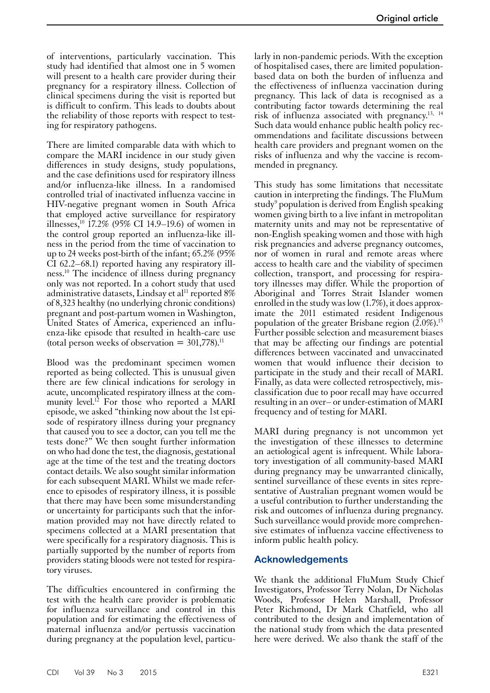of interventions, particularly vaccination. This study had identified that almost one in 5 women will present to a health care provider during their pregnancy for a respiratory illness. Collection of clinical specimens during the visit is reported but is difficult to confirm. This leads to doubts about the reliability of those reports with respect to testing for respiratory pathogens.

There are limited comparable data with which to compare the MARI incidence in our study given differences in study designs, study populations, and the case definitions used for respiratory illness and/or influenza-like illness. In a randomised controlled trial of inactivated influenza vaccine in HIV-negative pregnant women in South Africa that employed active surveillance for respiratory illnesses,<sup>10</sup> 17.2% (95% CI 14.9–19.6) of women in the control group reported an influenza-like illness in the period from the time of vaccination to up to 24 weeks post-birth of the infant; 65.2% (95% CI 62.2–68.1) reported having any respiratory illness.10 The incidence of illness during pregnancy only was not reported. In a cohort study that used administrative datasets, Lindsay et al<sup>11</sup> reported  $8\%$ of 8,323 healthy (no underlying chronic conditions) pregnant and post-partum women in Washington, United States of America, experienced an influenza-like episode that resulted in health-care use (total person weeks of observation  $= 301,778$ ).<sup>11</sup>

Blood was the predominant specimen women reported as being collected. This is unusual given there are few clinical indications for serology in acute, uncomplicated respiratory illness at the community level.<sup>12</sup> For those who reported a MARI episode, we asked "thinking now about the 1st episode of respiratory illness during your pregnancy that caused you to see a doctor, can you tell me the tests done?" We then sought further information on who had done the test, the diagnosis, gestational age at the time of the test and the treating doctors contact details. We also sought similar information for each subsequent MARI. Whilst we made reference to episodes of respiratory illness, it is possible that there may have been some misunderstanding or uncertainty for participants such that the information provided may not have directly related to specimens collected at a MARI presentation that were specifically for a respiratory diagnosis. This is partially supported by the number of reports from providers stating bloods were not tested for respiratory viruses.

The difficulties encountered in confirming the test with the health care provider is problematic for influenza surveillance and control in this population and for estimating the effectiveness of maternal influenza and/or pertussis vaccination during pregnancy at the population level, particularly in non-pandemic periods. With the exception of hospitalised cases, there are limited populationbased data on both the burden of influenza and the effectiveness of influenza vaccination during pregnancy. This lack of data is recognised as a contributing factor towards determining the real risk of influenza associated with pregnancy.13, <sup>14</sup> Such data would enhance public health policy recommendations and facilitate discussions between health care providers and pregnant women on the risks of influenza and why the vaccine is recommended in pregnancy.

This study has some limitations that necessitate caution in interpreting the findings. The FluMum study<sup>9</sup> population is derived from English speaking women giving birth to a live infant in metropolitan maternity units and may not be representative of non-English speaking women and those with high risk pregnancies and adverse pregnancy outcomes, nor of women in rural and remote areas where access to health care and the viability of specimen collection, transport, and processing for respiratory illnesses may differ. While the proportion of Aboriginal and Torres Strait Islander women enrolled in the study was low (1.7%), it does approximate the 2011 estimated resident Indigenous population of the greater Brisbane region (2.0%).15 Further possible selection and measurement biases that may be affecting our findings are potential differences between vaccinated and unvaccinated women that would influence their decision to participate in the study and their recall of MARI. Finally, as data were collected retrospectively, mis- classification due to poor recall may have occurred resulting in an over– or under-estimation of MARI frequency and of testing for MARI.

MARI during pregnancy is not uncommon yet the investigation of these illnesses to determine an aetiological agent is infrequent. While labora- tory investigation of all community-based MARI during pregnancy may be unwarranted clinically, sentinel surveillance of these events in sites repre- sentative of Australian pregnant women would be a useful contribution to further understanding the risk and outcomes of influenza during pregnancy. Such surveillance would provide more comprehen-<br>sive estimates of influenza vaccine effectiveness to inform public health policy.

# **Acknowledgements**

We thank the additional FluMum Study Chief Investigators, Professor Terry Nolan, Dr Nicholas Woods, Professor Helen Marshall, Professor Peter Richmond, Dr Mark Chatfield, who all contributed to the design and implementation of the national study from which the data presented here were derived. We also thank the staff of the